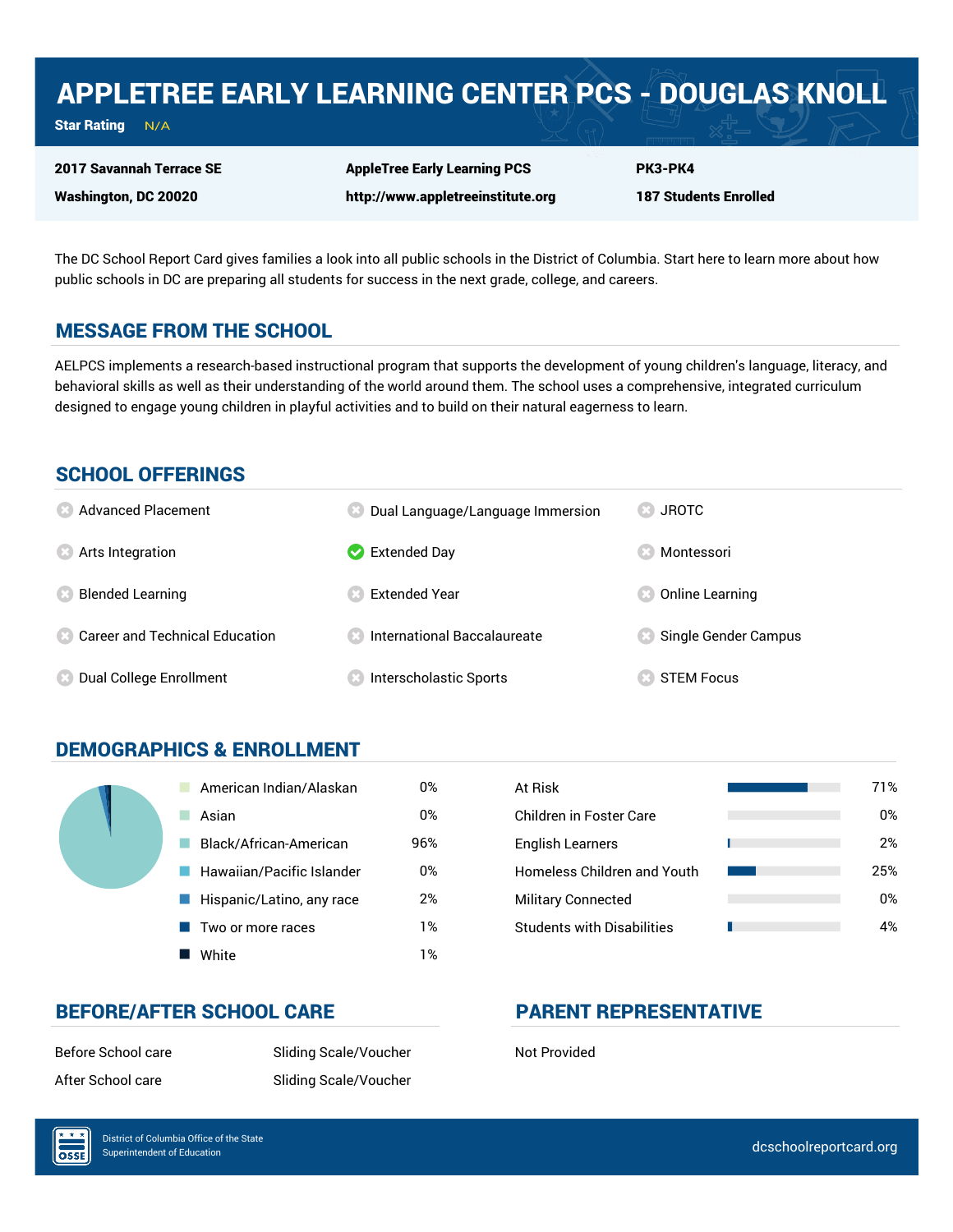# APPLETREE EARLY LEARNING CENTER PCS - DOUGLAS KNOLL

Star Rating  $N/A$ 

2017 Savannah Terrace SE Washington, DC 20020

AppleTree Early Learning PCS http://www.appletreeinstitute.org

187 Students Enrolled

PK3-PK4

The DC School Report Card gives families a look into all public schools in the District of Columbia. Start here to learn more about how public schools in DC are preparing all students for success in the next grade, college, and careers.

## MESSAGE FROM THE SCHOOL

AELPCS implements a research-based instructional program that supports the development of young children's language, literacy, and behavioral skills as well as their understanding of the world around them. The school uses a comprehensive, integrated curriculum designed to engage young children in playful activities and to build on their natural eagerness to learn.

## SCHOOL OFFERINGS

| <b>8</b> Advanced Placement             | Dual Language/Language Immersion   | <b>JROTC</b><br>CS.  |
|-----------------------------------------|------------------------------------|----------------------|
| <b>8</b> Arts Integration               | $\blacktriangleright$ Extended Day | Montessori           |
| <b>Blended Learning</b>                 | <b>Extended Year</b>               | Online Learning      |
| <b>8 Career and Technical Education</b> | <b>International Baccalaureate</b> | Single Gender Campus |
| Dual College Enrollment                 | Interscholastic Sports             | <b>STEM Focus</b>    |

## DEMOGRAPHICS & ENROLLMENT

| American Indian/Alaskan   | 0%  | At Risk                            |
|---------------------------|-----|------------------------------------|
| Asian                     | 0%  | Children in Foster Care            |
| Black/African-American    | 96% | <b>English Learners</b>            |
| Hawaiian/Pacific Islander | 0%  | <b>Homeless Children and Youth</b> |
| Hispanic/Latino, any race | 2%  | <b>Military Connected</b>          |
| Two or more races         | 1%  | <b>Students with Disabilities</b>  |
| White                     | 1%  |                                    |

| At Risk                            | 71% |
|------------------------------------|-----|
| Children in Foster Care            | 0%  |
| <b>English Learners</b>            | 2%  |
| <b>Homeless Children and Youth</b> | 25% |
| <b>Military Connected</b>          | 0%  |
| <b>Students with Disabilities</b>  | 4%  |

## BEFORE/AFTER SCHOOL CARE PARENT REPRESENTATIVE

Before School care Sliding Scale/Voucher Not Provided After School care Sliding Scale/Voucher